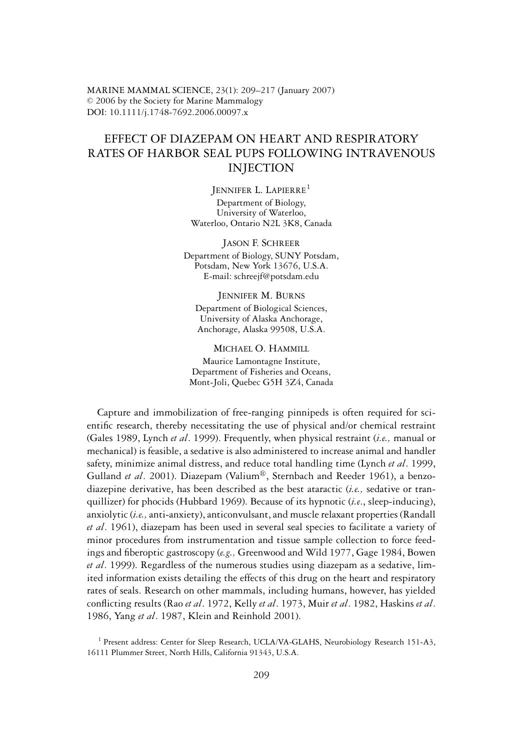MARINE MAMMAL SCIENCE, 23(1): 209–217 (January 2007)  $\oslash$  2006 by the Society for Marine Mammalogy DOI: 10.1111/j.1748-7692.2006.00097.x

## EFFECT OF DIAZEPAM ON HEART AND RESPIRATORY RATES OF HARBOR SEAL PUPS FOLLOWING INTRAVENOUS INJECTION

JENNIFER L. LAPIERRE<sup>1</sup>

Department of Biology, University of Waterloo, Waterloo, Ontario N2L 3K8, Canada

JASON F. SCHREER Department of Biology, SUNY Potsdam, Potsdam, New York 13676, U.S.A. E-mail: schreejf@potsdam.edu

## JENNIFER M. BURNS

Department of Biological Sciences, University of Alaska Anchorage, Anchorage, Alaska 99508, U.S.A.

MICHAEL O. HAMMILL Maurice Lamontagne Institute, Department of Fisheries and Oceans, Mont-Joli, Quebec G5H 3Z4, Canada

Capture and immobilization of free-ranging pinnipeds is often required for scientific research, thereby necessitating the use of physical and/or chemical restraint (Gales 1989, Lynch *et al*. 1999). Frequently, when physical restraint (*i.e.,* manual or mechanical) is feasible, a sedative is also administered to increase animal and handler safety, minimize animal distress, and reduce total handling time (Lynch *et al*. 1999, Gulland *et al.* 2001). Diazepam (Valium<sup>®</sup>, Sternbach and Reeder 1961), a benzodiazepine derivative, has been described as the best ataractic (*i.e.,* sedative or tranquillizer) for phocids (Hubbard 1969). Because of its hypnotic (*i.e*., sleep-inducing), anxiolytic (*i.e.,*anti-anxiety), anticonvulsant, and muscle relaxant properties (Randall *et al*. 1961), diazepam has been used in several seal species to facilitate a variety of minor procedures from instrumentation and tissue sample collection to force feedings and fiberoptic gastroscopy (*e.g.,* Greenwood and Wild 1977, Gage 1984, Bowen *et al*. 1999). Regardless of the numerous studies using diazepam as a sedative, limited information exists detailing the effects of this drug on the heart and respiratory rates of seals. Research on other mammals, including humans, however, has yielded conflicting results (Rao *et al*. 1972, Kelly *et al*. 1973, Muir *et al*. 1982, Haskins *et al*. 1986, Yang *et al*. 1987, Klein and Reinhold 2001).

<sup>1</sup> Present address: Center for Sleep Research, UCLA/VA-GLAHS, Neurobiology Research 151-A3, 16111 Plummer Street, North Hills, California 91343, U.S.A.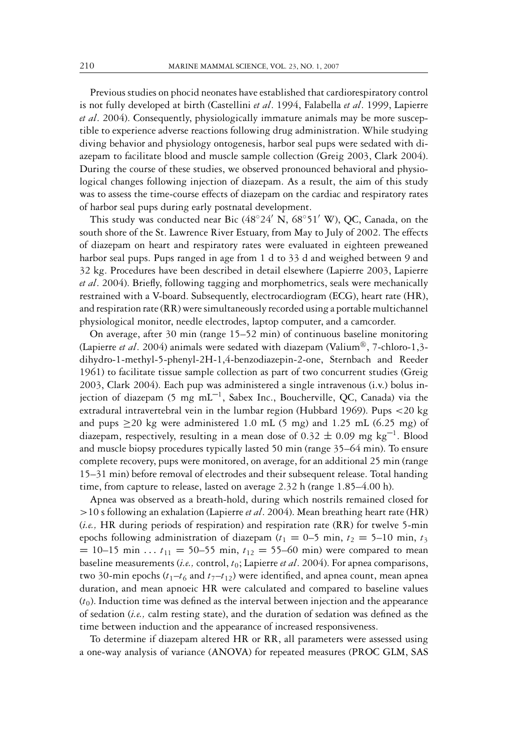Previous studies on phocid neonates have established that cardiorespiratory control is not fully developed at birth (Castellini *et al*. 1994, Falabella *et al*. 1999, Lapierre *et al*. 2004). Consequently, physiologically immature animals may be more susceptible to experience adverse reactions following drug administration. While studying diving behavior and physiology ontogenesis, harbor seal pups were sedated with diazepam to facilitate blood and muscle sample collection (Greig 2003, Clark 2004). During the course of these studies, we observed pronounced behavioral and physiological changes following injection of diazepam. As a result, the aim of this study was to assess the time-course effects of diazepam on the cardiac and respiratory rates of harbor seal pups during early postnatal development.

This study was conducted near Bic  $(48°24' \text{ N}, 68°51' \text{ W})$ , QC, Canada, on the south shore of the St. Lawrence River Estuary, from May to July of 2002. The effects of diazepam on heart and respiratory rates were evaluated in eighteen preweaned harbor seal pups. Pups ranged in age from 1 d to 33 d and weighed between 9 and 32 kg. Procedures have been described in detail elsewhere (Lapierre 2003, Lapierre *et al*. 2004). Briefly, following tagging and morphometrics, seals were mechanically restrained with a V-board. Subsequently, electrocardiogram (ECG), heart rate (HR), and respiration rate (RR) were simultaneously recorded using a portable multichannel physiological monitor, needle electrodes, laptop computer, and a camcorder.

On average, after 30 min (range 15–52 min) of continuous baseline monitoring (Lapierre *et al.* 2004) animals were sedated with diazepam (Valium®, 7-chloro-1,3dihydro-1-methyl-5-phenyl-2H-1,4-benzodiazepin-2-one, Sternbach and Reeder 1961) to facilitate tissue sample collection as part of two concurrent studies (Greig 2003, Clark 2004). Each pup was administered a single intravenous (i.v.) bolus injection of diazepam (5 mg  $mL^{-1}$ , Sabex Inc., Boucherville, QC, Canada) via the extradural intravertebral vein in the lumbar region (Hubbard 1969). Pups <20 kg and pups  $\geq$ 20 kg were administered 1.0 mL (5 mg) and 1.25 mL (6.25 mg) of diazepam, respectively, resulting in a mean dose of  $0.32 \pm 0.09$  mg kg<sup>-1</sup>. Blood and muscle biopsy procedures typically lasted 50 min (range 35–64 min). To ensure complete recovery, pups were monitored, on average, for an additional 25 min (range 15–31 min) before removal of electrodes and their subsequent release. Total handing time, from capture to release, lasted on average 2.32 h (range 1.85–4.00 h).

Apnea was observed as a breath-hold, during which nostrils remained closed for >10 s following an exhalation (Lapierre *et al*. 2004). Mean breathing heart rate (HR) (*i.e.,* HR during periods of respiration) and respiration rate (RR) for twelve 5-min epochs following administration of diazepam ( $t_1 = 0$ –5 min,  $t_2 = 5$ –10 min,  $t_3$  $= 10-15$  min ...  $t_{11} = 50-55$  min,  $t_{12} = 55-60$  min) were compared to mean baseline measurements (*i.e.,* control, *t*0; Lapierre *et al*. 2004). For apnea comparisons, two 30-min epochs  $(t_1-t_6)$  and  $t_7-t_{12}$ ) were identified, and apnea count, mean apnea duration, and mean apnoeic HR were calculated and compared to baseline values  $(t_0)$ . Induction time was defined as the interval between injection and the appearance of sedation (*i.e.,* calm resting state), and the duration of sedation was defined as the time between induction and the appearance of increased responsiveness.

To determine if diazepam altered HR or RR, all parameters were assessed using a one-way analysis of variance (ANOVA) for repeated measures (PROC GLM, SAS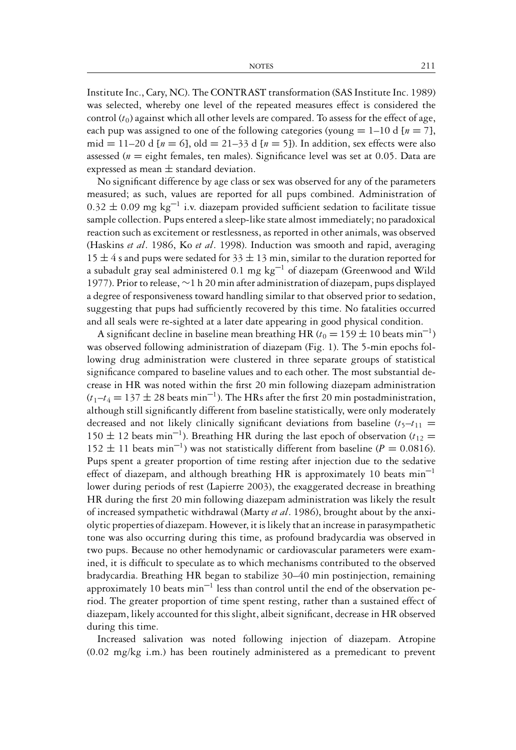Institute Inc., Cary, NC). The CONTRAST transformation (SAS Institute Inc. 1989) was selected, whereby one level of the repeated measures effect is considered the control  $(t_0)$  against which all other levels are compared. To assess for the effect of age, each pup was assigned to one of the following categories (young  $= 1-10$  d [ $n = 7$ ], mid = 11–20 d  $[n = 6]$ , old = 21–33 d  $[n = 5]$ ). In addition, sex effects were also assessed ( $n =$  eight females, ten males). Significance level was set at  $0.05$ . Data are expressed as mean  $\pm$  standard deviation.

No significant difference by age class or sex was observed for any of the parameters measured; as such, values are reported for all pups combined. Administration of  $0.32 \pm 0.09$  mg kg<sup>-1</sup> i.v. diazepam provided sufficient sedation to facilitate tissue sample collection. Pups entered a sleep-like state almost immediately; no paradoxical reaction such as excitement or restlessness, as reported in other animals, was observed (Haskins *et al*. 1986, Ko *et al*. 1998). Induction was smooth and rapid, averaging 15  $\pm$  4 s and pups were sedated for 33  $\pm$  13 min, similar to the duration reported for a subadult gray seal administered 0.1 mg  $kg^{-1}$  of diazepam (Greenwood and Wild 1977). Prior to release, ∼1 h 20 min after administration of diazepam, pups displayed a degree of responsiveness toward handling similar to that observed prior to sedation, suggesting that pups had sufficiently recovered by this time. No fatalities occurred and all seals were re-sighted at a later date appearing in good physical condition.

A significant decline in baseline mean breathing HR  $(t_0 = 159 \pm 10 \text{ beats min}^{-1})$ was observed following administration of diazepam (Fig. 1). The 5-min epochs following drug administration were clustered in three separate groups of statistical significance compared to baseline values and to each other. The most substantial decrease in HR was noted within the first 20 min following diazepam administration  $(t_1-t_4=137\pm 28$  beats min<sup>-1</sup>). The HRs after the first 20 min postadministration, although still significantly different from baseline statistically, were only moderately decreased and not likely clinically significant deviations from baseline  $(t_5-t_{11}$ 150  $\pm$  12 beats min<sup>-1</sup>). Breathing HR during the last epoch of observation ( $t_{12}$  =  $152 \pm 11$  beats min<sup>-1</sup>) was not statistically different from baseline ( $P = 0.0816$ ). Pups spent a greater proportion of time resting after injection due to the sedative effect of diazepam, and although breathing HR is approximately 10 beats  $min^{-1}$ lower during periods of rest (Lapierre 2003), the exaggerated decrease in breathing HR during the first 20 min following diazepam administration was likely the result of increased sympathetic withdrawal (Marty *et al*. 1986), brought about by the anxiolytic properties of diazepam. However, it is likely that an increase in parasympathetic tone was also occurring during this time, as profound bradycardia was observed in two pups. Because no other hemodynamic or cardiovascular parameters were examined, it is difficult to speculate as to which mechanisms contributed to the observed bradycardia. Breathing HR began to stabilize 30–40 min postinjection, remaining approximately 10 beats  $min^{-1}$  less than control until the end of the observation period. The greater proportion of time spent resting, rather than a sustained effect of diazepam, likely accounted for this slight, albeit significant, decrease in HR observed during this time.

Increased salivation was noted following injection of diazepam. Atropine (0.02 mg/kg i.m.) has been routinely administered as a premedicant to prevent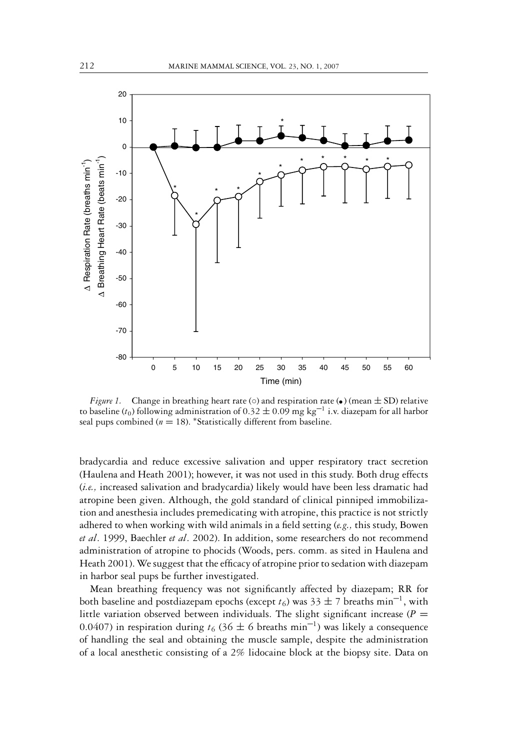

*Figure 1.* Change in breathing heart rate ( $\circ$ ) and respiration rate ( $\bullet$ ) (mean  $\pm$  SD) relative to baseline ( $t_0$ ) following administration of 0.32  $\pm$  0.09 mg kg<sup>-1</sup> i.v. diazepam for all harbor seal pups combined ( $n = 18$ ). \*Statistically different from baseline.

bradycardia and reduce excessive salivation and upper respiratory tract secretion (Haulena and Heath 2001); however, it was not used in this study. Both drug effects (*i.e.,* increased salivation and bradycardia) likely would have been less dramatic had atropine been given. Although, the gold standard of clinical pinniped immobilization and anesthesia includes premedicating with atropine, this practice is not strictly adhered to when working with wild animals in a field setting (*e.g.,* this study, Bowen *et al*. 1999, Baechler *et al*. 2002). In addition, some researchers do not recommend administration of atropine to phocids (Woods, pers. comm. as sited in Haulena and Heath 2001). We suggest that the efficacy of atropine prior to sedation with diazepam in harbor seal pups be further investigated.

Mean breathing frequency was not significantly affected by diazepam; RR for both baseline and postdiazepam epochs (except  $t_6$ ) was  $33 \pm 7$  breaths min<sup>-1</sup>, with little variation observed between individuals. The slight significant increase ( $P =$ 0.0407) in respiration during  $t_6$  (36  $\pm$  6 breaths min<sup>-1</sup>) was likely a consequence of handling the seal and obtaining the muscle sample, despite the administration of a local anesthetic consisting of a 2% lidocaine block at the biopsy site. Data on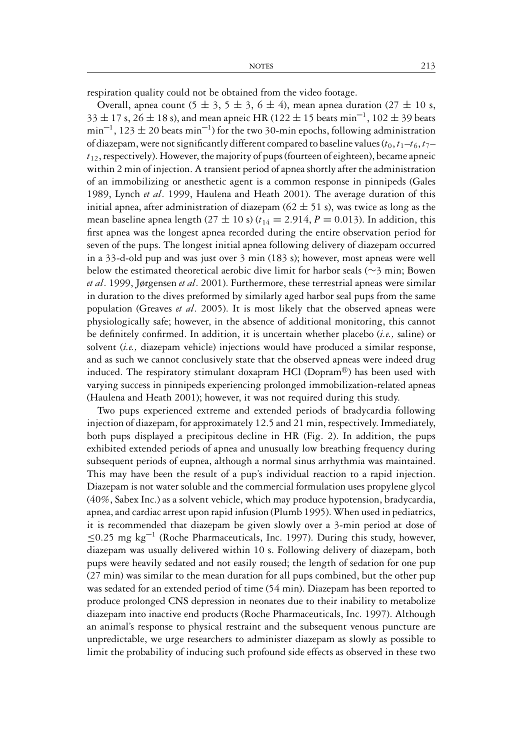respiration quality could not be obtained from the video footage.

Overall, apnea count  $(5 \pm 3, 5 \pm 3, 6 \pm 4)$ , mean apnea duration  $(27 \pm 10 \text{ s}$ ,  $33 \pm 17$  s,  $26 \pm 18$  s), and mean apneic HR (122  $\pm 15$  beats min<sup>-1</sup>, 102  $\pm 39$  beats  $\min^{-1}$ , 123  $\pm$  20 beats min<sup>-1</sup>) for the two 30-min epochs, following administration of diazepam, were not significantly different compared to baseline values  $(t_0, t_1-t_6, t_7$ *t*12, respectively). However, the majority of pups (fourteen of eighteen), became apneic within 2 min of injection. A transient period of apnea shortly after the administration of an immobilizing or anesthetic agent is a common response in pinnipeds (Gales 1989, Lynch *et al*. 1999, Haulena and Heath 2001). The average duration of this initial apnea, after administration of diazepam  $(62 \pm 51 \text{ s})$ , was twice as long as the mean baseline apnea length (27  $\pm$  10 s) ( $t_{14}$  = 2.914,  $P$  = 0.013). In addition, this first apnea was the longest apnea recorded during the entire observation period for seven of the pups. The longest initial apnea following delivery of diazepam occurred in a 33-d-old pup and was just over 3 min (183 s); however, most apneas were well below the estimated theoretical aerobic dive limit for harbor seals (∼3 min; Bowen *et al*. 1999, Jørgensen *et al*. 2001). Furthermore, these terrestrial apneas were similar in duration to the dives preformed by similarly aged harbor seal pups from the same population (Greaves *et al*. 2005). It is most likely that the observed apneas were physiologically safe; however, in the absence of additional monitoring, this cannot be definitely confirmed. In addition, it is uncertain whether placebo (*i.e.,* saline) or solvent (*i.e.,* diazepam vehicle) injections would have produced a similar response, and as such we cannot conclusively state that the observed apneas were indeed drug induced. The respiratory stimulant doxapram HCl (Dopram $\mathbb{B}$ ) has been used with varying success in pinnipeds experiencing prolonged immobilization-related apneas (Haulena and Heath 2001); however, it was not required during this study.

Two pups experienced extreme and extended periods of bradycardia following injection of diazepam, for approximately 12.5 and 21 min, respectively. Immediately, both pups displayed a precipitous decline in HR (Fig. 2). In addition, the pups exhibited extended periods of apnea and unusually low breathing frequency during subsequent periods of eupnea, although a normal sinus arrhythmia was maintained. This may have been the result of a pup's individual reaction to a rapid injection. Diazepam is not water soluble and the commercial formulation uses propylene glycol (40%, Sabex Inc.) as a solvent vehicle, which may produce hypotension, bradycardia, apnea, and cardiac arrest upon rapid infusion (Plumb 1995). When used in pediatrics, it is recommended that diazepam be given slowly over a 3-min period at dose of  $\leq$ 0.25 mg kg<sup>-1</sup> (Roche Pharmaceuticals, Inc. 1997). During this study, however, diazepam was usually delivered within 10 s. Following delivery of diazepam, both pups were heavily sedated and not easily roused; the length of sedation for one pup (27 min) was similar to the mean duration for all pups combined, but the other pup was sedated for an extended period of time (54 min). Diazepam has been reported to produce prolonged CNS depression in neonates due to their inability to metabolize diazepam into inactive end products (Roche Pharmaceuticals, Inc. 1997). Although an animal's response to physical restraint and the subsequent venous puncture are unpredictable, we urge researchers to administer diazepam as slowly as possible to limit the probability of inducing such profound side effects as observed in these two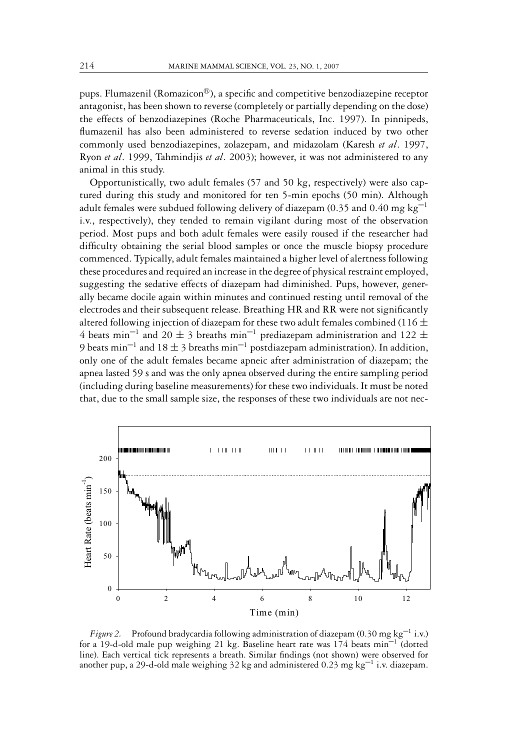pups. Flumazenil (Romazicon<sup>®</sup>), a specific and competitive benzodiazepine receptor antagonist, has been shown to reverse (completely or partially depending on the dose) the effects of benzodiazepines (Roche Pharmaceuticals, Inc. 1997). In pinnipeds, flumazenil has also been administered to reverse sedation induced by two other commonly used benzodiazepines, zolazepam, and midazolam (Karesh *et al*. 1997, Ryon *et al*. 1999, Tahmindjis *et al*. 2003); however, it was not administered to any animal in this study.

Opportunistically, two adult females (57 and 50 kg, respectively) were also captured during this study and monitored for ten 5-min epochs (50 min). Although adult females were subdued following delivery of diazepam (0.35 and 0.40 mg kg<sup>-1</sup> i.v., respectively), they tended to remain vigilant during most of the observation period. Most pups and both adult females were easily roused if the researcher had difficulty obtaining the serial blood samples or once the muscle biopsy procedure commenced. Typically, adult females maintained a higher level of alertness following these procedures and required an increase in the degree of physical restraint employed, suggesting the sedative effects of diazepam had diminished. Pups, however, generally became docile again within minutes and continued resting until removal of the electrodes and their subsequent release. Breathing HR and RR were not significantly altered following injection of diazepam for these two adult females combined (116  $\pm$ 4 beats min<sup>-1</sup> and 20  $\pm$  3 breaths min<sup>-1</sup> prediazepam administration and 122  $\pm$ 9 beats min<sup>-1</sup> and 18  $\pm$  3 breaths min<sup>-1</sup> postdiazepam administration). In addition, only one of the adult females became apneic after administration of diazepam; the apnea lasted 59 s and was the only apnea observed during the entire sampling period (including during baseline measurements) for these two individuals. It must be noted that, due to the small sample size, the responses of these two individuals are not nec-



*Figure 2.* Profound bradycardia following administration of diazepam  $(0.30 \text{ mg kg}^{-1} \text{ i.v.})$ for a 19-d-old male pup weighing 21 kg. Baseline heart rate was  $174$  beats  $min^{-1}$  (dotted line). Each vertical tick represents a breath. Similar findings (not shown) were observed for another pup, a 29-d-old male weighing 32 kg and administered 0.23 mg  $kg^{-1}$  i.v. diazepam.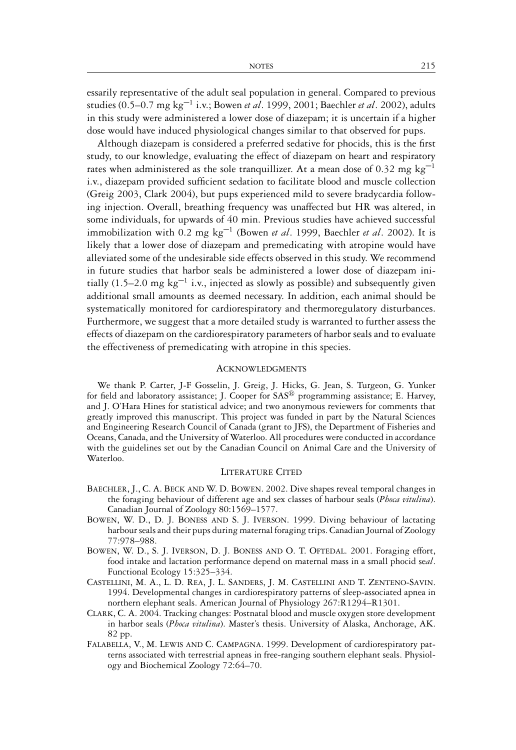essarily representative of the adult seal population in general. Compared to previous studies (0.5–0.7 mg kg–1 i.v.; Bowen *et al*. 1999, 2001; Baechler *et al*. 2002), adults in this study were administered a lower dose of diazepam; it is uncertain if a higher dose would have induced physiological changes similar to that observed for pups.

Although diazepam is considered a preferred sedative for phocids, this is the first study, to our knowledge, evaluating the effect of diazepam on heart and respiratory rates when administered as the sole tranquillizer. At a mean dose of 0.32 mg  $kg^{-1}$ i.v., diazepam provided sufficient sedation to facilitate blood and muscle collection (Greig 2003, Clark 2004), but pups experienced mild to severe bradycardia following injection. Overall, breathing frequency was unaffected but HR was altered, in some individuals, for upwards of 40 min. Previous studies have achieved successful immobilization with 0.2 mg kg–1 (Bowen *et al*. 1999, Baechler *et al*. 2002). It is likely that a lower dose of diazepam and premedicating with atropine would have alleviated some of the undesirable side effects observed in this study. We recommend in future studies that harbor seals be administered a lower dose of diazepam initially (1.5–2.0 mg  $kg^{-1}$  i.v., injected as slowly as possible) and subsequently given additional small amounts as deemed necessary. In addition, each animal should be systematically monitored for cardiorespiratory and thermoregulatory disturbances. Furthermore, we suggest that a more detailed study is warranted to further assess the effects of diazepam on the cardiorespiratory parameters of harbor seals and to evaluate the effectiveness of premedicating with atropine in this species.

## ACKNOWLEDGMENTS

We thank P. Carter, J-F Gosselin, J. Greig, J. Hicks, G. Jean, S. Turgeon, G. Yunker for field and laboratory assistance; J. Cooper for  $SAS^{\circled{D}}$  programming assistance; E. Harvey, and J. O'Hara Hines for statistical advice; and two anonymous reviewers for comments that greatly improved this manuscript. This project was funded in part by the Natural Sciences and Engineering Research Council of Canada (grant to JFS), the Department of Fisheries and Oceans, Canada, and the University of Waterloo. All procedures were conducted in accordance with the guidelines set out by the Canadian Council on Animal Care and the University of Waterloo.

## LITERATURE CITED

- BAECHLER, J., C. A. BECK AND W. D. BOWEN. 2002. Dive shapes reveal temporal changes in the foraging behaviour of different age and sex classes of harbour seals (*Phoca vitulina*). Canadian Journal of Zoology 80:1569–1577.
- BOWEN, W. D., D. J. BONESS AND S. J. IVERSON. 1999. Diving behaviour of lactating harbour seals and their pups during maternal foraging trips. Canadian Journal of Zoology 77:978–988.
- BOWEN, W. D., S. J. IVERSON, D. J. BONESS AND O. T. OFTEDAL. 2001. Foraging effort, food intake and lactation performance depend on maternal mass in a small phocid se*al*. Functional Ecology 15:325–334.
- CASTELLINI, M. A., L. D. REA, J. L. SANDERS, J. M. CASTELLINI AND T. ZENTENO-SAVIN. 1994. Developmental changes in cardiorespiratory patterns of sleep-associated apnea in northern elephant seals. American Journal of Physiology 267:R1294–R1301.
- CLARK, C. A. 2004. Tracking changes: Postnatal blood and muscle oxygen store development in harbor seals (*Phoca vitulina*). Master's thesis. University of Alaska, Anchorage, AK. 82 pp.
- FALABELLA, V., M. LEWIS AND C. CAMPAGNA. 1999. Development of cardiorespiratory patterns associated with terrestrial apneas in free-ranging southern elephant seals. Physiology and Biochemical Zoology 72:64–70.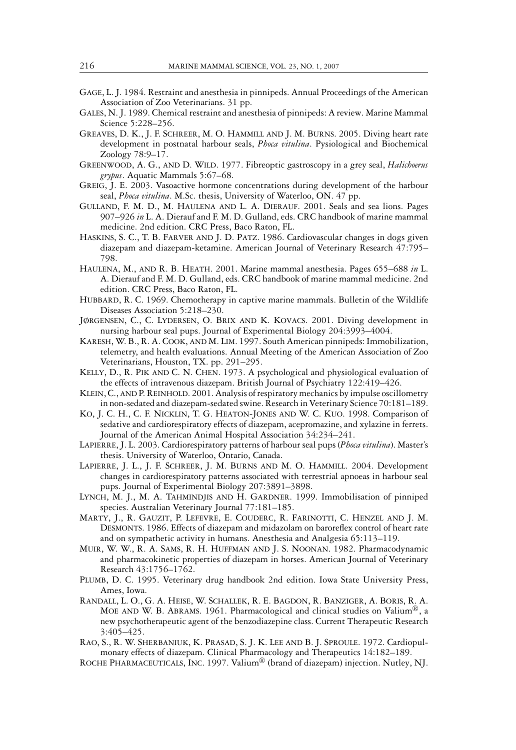- GAGE, L. J. 1984. Restraint and anesthesia in pinnipeds. Annual Proceedings of the American Association of Zoo Veterinarians. 31 pp.
- GALES, N. J. 1989. Chemical restraint and anesthesia of pinnipeds: A review. Marine Mammal Science 5:228–256.
- GREAVES, D. K., J. F. SCHREER, M. O. HAMMILL AND J. M. BURNS. 2005. Diving heart rate development in postnatal harbour seals, *Phoca vitulina*. Pysiological and Biochemical Zoology 78:9–17.
- GREENWOOD, A. G., AND D. WILD. 1977. Fibreoptic gastroscopy in a grey seal, *Halichoerus grypus*. Aquatic Mammals 5:67–68.
- GREIG, J. E. 2003. Vasoactive hormone concentrations during development of the harbour seal, *Phoca vitulina*. M.Sc. thesis, University of Waterloo, ON. 47 pp.
- GULLAND, F. M. D., M. HAULENA AND L. A. DIERAUF. 2001. Seals and sea lions. Pages 907–926 *in* L. A. Dierauf and F. M. D. Gulland, eds. CRC handbook of marine mammal medicine. 2nd edition. CRC Press, Baco Raton, FL.
- HASKINS, S. C., T. B. FARVER AND J. D. PATZ. 1986. Cardiovascular changes in dogs given diazepam and diazepam-ketamine. American Journal of Veterinary Research 47:795– 798.
- HAULENA, M., AND R. B. HEATH. 2001. Marine mammal anesthesia. Pages 655–688 *in* L. A. Dierauf and F. M. D. Gulland, eds. CRC handbook of marine mammal medicine. 2nd edition. CRC Press, Baco Raton, FL.
- HUBBARD, R. C. 1969. Chemotherapy in captive marine mammals. Bulletin of the Wildlife Diseases Association 5:218–230.
- JØRGENSEN, C., C. LYDERSEN, O. BRIX AND K. KOVACS. 2001. Diving development in nursing harbour seal pups. Journal of Experimental Biology 204:3993–4004.
- KARESH, W. B., R. A. COOK, AND M. LIM. 1997. South American pinnipeds: Immobilization, telemetry, and health evaluations. Annual Meeting of the American Association of Zoo Veterinarians, Houston, TX. pp. 291–295.
- KELLY, D., R. PIK AND C. N. CHEN. 1973. A psychological and physiological evaluation of the effects of intravenous diazepam. British Journal of Psychiatry 122:419–426.
- KLEIN, C., AND P. REINHOLD. 2001. Analysis of respiratory mechanics by impulse oscillometry in non-sedated and diazepam-sedated swine. Research in Veterinary Science 70:181–189.
- KO, J. C. H., C. F. NICKLIN, T. G. HEATON-JONES AND W. C. KUO. 1998. Comparison of sedative and cardiorespiratory effects of diazepam, acepromazine, and xylazine in ferrets. Journal of the American Animal Hospital Association 34:234–241.
- LAPIERRE, J. L. 2003. Cardiorespiratory patterns of harbour seal pups (*Phoca vitulina*). Master's thesis. University of Waterloo, Ontario, Canada.
- LAPIERRE, J. L., J. F. SCHREER, J. M. BURNS AND M. O. HAMMILL. 2004. Development changes in cardiorespiratory patterns associated with terrestrial apnoeas in harbour seal pups. Journal of Experimental Biology 207:3891–3898.
- LYNCH, M. J., M. A. TAHMINDJIS AND H. GARDNER. 1999. Immobilisation of pinniped species. Australian Veterinary Journal 77:181–185.
- MARTY, J., R. GAUZIT, P. LEFEVRE, E. COUDERC, R. FARINOTTI, C. HENZEL AND J. M. DESMONTS. 1986. Effects of diazepam and midazolam on baroreflex control of heart rate and on sympathetic activity in humans. Anesthesia and Analgesia 65:113–119.
- MUIR, W. W., R. A. SAMS, R. H. HUFFMAN AND J. S. NOONAN. 1982. Pharmacodynamic and pharmacokinetic properties of diazepam in horses. American Journal of Veterinary Research 43:1756–1762.
- PLUMB, D. C. 1995. Veterinary drug handbook 2nd edition. Iowa State University Press, Ames, Iowa.
- RANDALL, L. O., G. A. HEISE, W. SCHALLEK, R. E. BAGDON, R. BANZIGER, A. BORIS, R. A. MOE AND W. B. ABRAMS. 1961. Pharmacological and clinical studies on Valium<sup>®</sup>, a new psychotherapeutic agent of the benzodiazepine class. Current Therapeutic Research 3:405–425.
- RAO, S., R. W. SHERBANIUK, K. PRASAD, S. J. K. LEE AND B. J. SPROULE. 1972. Cardiopulmonary effects of diazepam. Clinical Pharmacology and Therapeutics 14:182–189.
- ROCHE PHARMACEUTICALS, INC. 1997. Valium<sup>®</sup> (brand of diazepam) injection. Nutley, NJ.